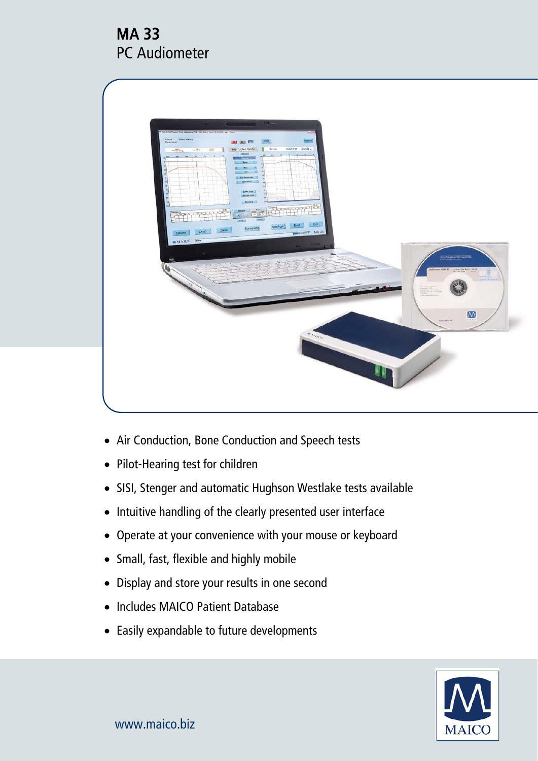# MA 33 PC Audiometer



- Air Conduction, Bone Conduction and Speech tests
- Pilot-Hearing test for children
- SISI, Stenger and automatic Hughson Westlake tests available
- Intuitive handling of the clearly presented user interface
- Operate at your convenience with your mouse or keyboard
- Small, fast, flexible and highly mobile
- Display and store your results in one second
- Includes MAICO Patient Database
- Easily expandable to future developments